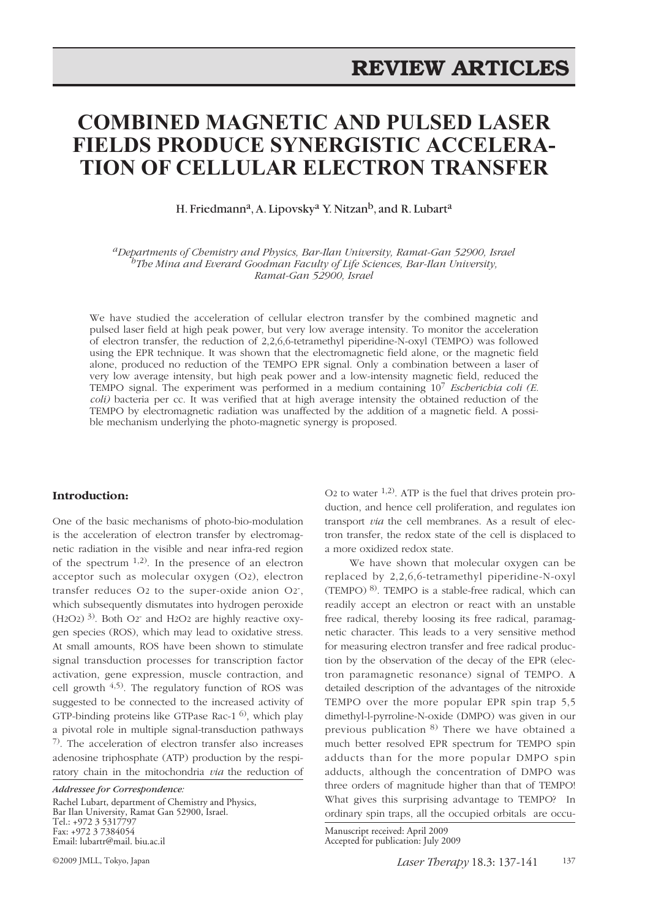# **COMBINED MAGNETIC AND PULSED LASER FIELDS PRODUCE SYNERGISTIC ACCELERA-TION OF CELLULAR ELECTRON TRANSFER**

H. Friedmann<sup>a</sup>, A. Lipovsky<sup>a</sup> Y. Nitzan<sup>b</sup>, and R. Lubart<sup>a</sup>

*aDepartments of Chemistry and Physics, Bar-Ilan University, Ramat-Gan 52900, Israel bThe Mina and Everard Goodman Faculty of Life Sciences, Bar-Ilan University, Ramat-Gan 52900, Israel*

We have studied the acceleration of cellular electron transfer by the combined magnetic and pulsed laser field at high peak power, but very low average intensity. To monitor the acceleration of electron transfer, the reduction of 2,2,6,6-tetramethyl piperidine-N-oxyl (TEMPO) was followed using the EPR technique. It was shown that the electromagnetic field alone, or the magnetic field alone, produced no reduction of the TEMPO EPR signal. Only a combination between a laser of very low average intensity, but high peak power and a low-intensity magnetic field, reduced the TEMPO signal. The experiment was performed in a medium containing 107 *Escherichia coli (E. coli)* bacteria per cc. It was verified that at high average intensity the obtained reduction of the TEMPO by electromagnetic radiation was unaffected by the addition of a magnetic field. A possible mechanism underlying the photo-magnetic synergy is proposed.

#### **Introduction:**

One of the basic mechanisms of photo-bio-modulation is the acceleration of electron transfer by electromagnetic radiation in the visible and near infra-red region of the spectrum  $1,2$ ). In the presence of an electron acceptor such as molecular oxygen (O2), electron transfer reduces O2 to the super-oxide anion O2- , which subsequently dismutates into hydrogen peroxide  $(H2O2)$ <sup>3)</sup>. Both O2<sup>-</sup> and H2O2 are highly reactive oxygen species (ROS), which may lead to oxidative stress. At small amounts, ROS have been shown to stimulate signal transduction processes for transcription factor activation, gene expression, muscle contraction, and cell growth  $4,5$ ). The regulatory function of ROS was suggested to be connected to the increased activity of GTP-binding proteins like GTPase Rac-1 6), which play a pivotal role in multiple signal-transduction pathways 7). The acceleration of electron transfer also increases adenosine triphosphate (ATP) production by the respiratory chain in the mitochondria *via* the reduction of

*Addressee for Correspondence:* Rachel Lubart, department of Chemistry and Physics, Bar Ilan University, Ramat Gan 52900, Israel. Tel.: +972 3 5317797 Fax: +972 3 7384054 Email: lubartr@mail. biu.ac.il

O<sub>2</sub> to water  $^{1,2)}$ . ATP is the fuel that drives protein production, and hence cell proliferation, and regulates ion transport *via* the cell membranes. As a result of electron transfer, the redox state of the cell is displaced to a more oxidized redox state.

We have shown that molecular oxygen can be replaced by 2,2,6,6-tetramethyl piperidine-N-oxyl (TEMPO) 8). TEMPO is a stable-free radical, which can readily accept an electron or react with an unstable free radical, thereby loosing its free radical, paramagnetic character. This leads to a very sensitive method for measuring electron transfer and free radical production by the observation of the decay of the EPR (electron paramagnetic resonance) signal of TEMPO. A detailed description of the advantages of the nitroxide TEMPO over the more popular EPR spin trap 5,5 dimethyl-l-pyrroline-N-oxide (DMPO) was given in our previous publication 8) There we have obtained a much better resolved EPR spectrum for TEMPO spin adducts than for the more popular DMPO spin adducts, although the concentration of DMPO was three orders of magnitude higher than that of TEMPO! What gives this surprising advantage to TEMPO? In ordinary spin traps, all the occupied orbitals are occu-

Manuscript received: April 2009 Accepted for publication: July 2009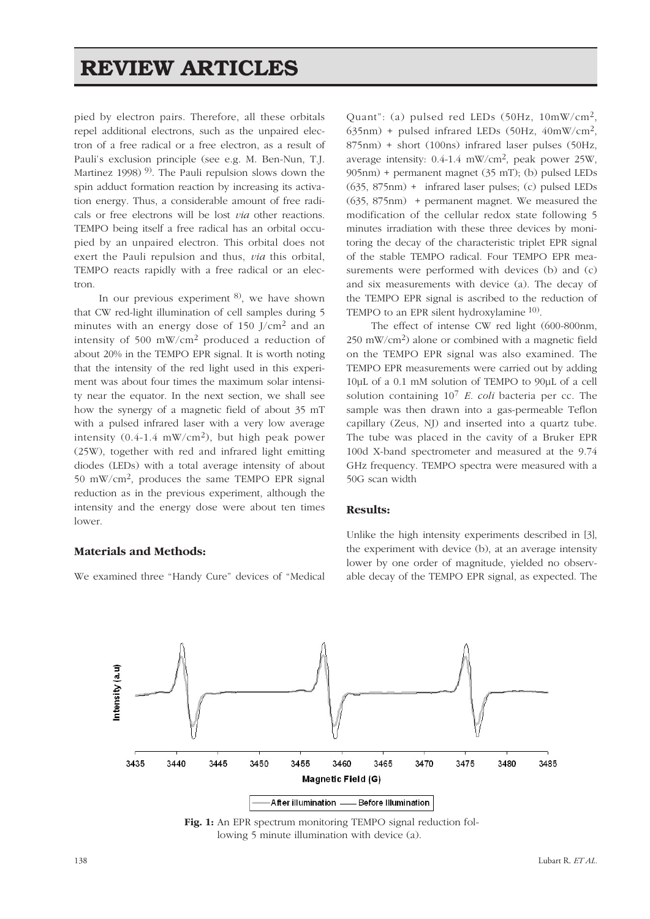# **REVIEW ARTICLES**

pied by electron pairs. Therefore, all these orbitals repel additional electrons, such as the unpaired electron of a free radical or a free electron, as a result of Pauli's exclusion principle (see e.g. M. Ben-Nun, T.J. Martinez 1998)<sup>9)</sup>. The Pauli repulsion slows down the spin adduct formation reaction by increasing its activation energy. Thus, a considerable amount of free radicals or free electrons will be lost *via* other reactions. TEMPO being itself a free radical has an orbital occupied by an unpaired electron. This orbital does not exert the Pauli repulsion and thus, *via* this orbital, TEMPO reacts rapidly with a free radical or an electron.

In our previous experiment <sup>8)</sup>, we have shown that CW red-light illumination of cell samples during 5 minutes with an energy dose of 150 J/cm2 and an intensity of 500 mW/cm2 produced a reduction of about 20% in the TEMPO EPR signal. It is worth noting that the intensity of the red light used in this experiment was about four times the maximum solar intensity near the equator. In the next section, we shall see how the synergy of a magnetic field of about 35 mT with a pulsed infrared laser with a very low average intensity  $(0.4\n-1.4 \, \text{mW/cm}^2)$ , but high peak power (25W), together with red and infrared light emitting diodes (LEDs) with a total average intensity of about 50 mW/cm2, produces the same TEMPO EPR signal reduction as in the previous experiment, although the intensity and the energy dose were about ten times lower.

### **Materials and Methods:**

We examined three "Handy Cure" devices of "Medical

Quant": (a) pulsed red LEDs (50Hz, 10mW/cm2,  $635$ nm) + pulsed infrared LEDs (50Hz, 40mW/cm<sup>2</sup>, 875nm) + short (100ns) infrared laser pulses (50Hz, average intensity:  $0.4$ -1.4 mW/cm<sup>2</sup>, peak power 25W, 905nm) + permanent magnet (35 mT); (b) pulsed LEDs (635, 875nm) + infrared laser pulses; (c) pulsed LEDs (635, 875nm) + permanent magnet. We measured the modification of the cellular redox state following 5 minutes irradiation with these three devices by monitoring the decay of the characteristic triplet EPR signal of the stable TEMPO radical. Four TEMPO EPR measurements were performed with devices (b) and (c) and six measurements with device (a). The decay of the TEMPO EPR signal is ascribed to the reduction of TEMPO to an EPR silent hydroxylamine  $10$ .

The effect of intense CW red light (600-800nm, 250 mW/cm2) alone or combined with a magnetic field on the TEMPO EPR signal was also examined. The TEMPO EPR measurements were carried out by adding 10µL of a 0.1 mM solution of TEMPO to 90µL of a cell solution containing 107 *E. coli* bacteria per cc. The sample was then drawn into a gas-permeable Teflon capillary (Zeus, NJ) and inserted into a quartz tube. The tube was placed in the cavity of a Bruker EPR 100d X-band spectrometer and measured at the 9.74 GHz frequency. TEMPO spectra were measured with a 50G scan width

#### **Results:**

Unlike the high intensity experiments described in [3], the experiment with device (b), at an average intensity lower by one order of magnitude, yielded no observable decay of the TEMPO EPR signal, as expected. The



**Fig. 1:** An EPR spectrum monitoring TEMPO signal reduction following 5 minute illumination with device (a).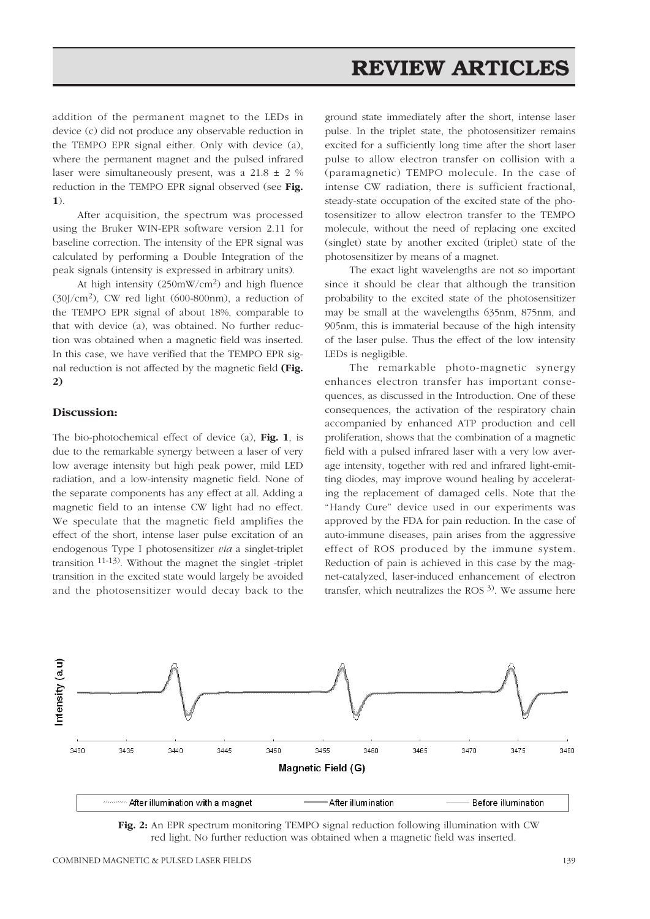# **REVIEW ARTICLES**

addition of the permanent magnet to the LEDs in device (c) did not produce any observable reduction in the TEMPO EPR signal either. Only with device (a), where the permanent magnet and the pulsed infrared laser were simultaneously present, was a 21.8 ± 2 % reduction in the TEMPO EPR signal observed (see **Fig. 1**).

After acquisition, the spectrum was processed using the Bruker WIN-EPR software version 2.11 for baseline correction. The intensity of the EPR signal was calculated by performing a Double Integration of the peak signals (intensity is expressed in arbitrary units).

At high intensity (250mW/cm2) and high fluence (30J/cm2), CW red light (600-800nm), a reduction of the TEMPO EPR signal of about 18%, comparable to that with device (a), was obtained. No further reduction was obtained when a magnetic field was inserted. In this case, we have verified that the TEMPO EPR signal reduction is not affected by the magnetic field **(Fig. 2)**

#### **Discussion:**

The bio-photochemical effect of device (a), **Fig. 1**, is due to the remarkable synergy between a laser of very low average intensity but high peak power, mild LED radiation, and a low-intensity magnetic field. None of the separate components has any effect at all. Adding a magnetic field to an intense CW light had no effect. We speculate that the magnetic field amplifies the effect of the short, intense laser pulse excitation of an endogenous Type I photosensitizer *via* a singlet-triplet transition 11-13). Without the magnet the singlet -triplet transition in the excited state would largely be avoided and the photosensitizer would decay back to the

ground state immediately after the short, intense laser pulse. In the triplet state, the photosensitizer remains excited for a sufficiently long time after the short laser pulse to allow electron transfer on collision with a (paramagnetic) TEMPO molecule. In the case of intense CW radiation, there is sufficient fractional, steady-state occupation of the excited state of the photosensitizer to allow electron transfer to the TEMPO molecule, without the need of replacing one excited (singlet) state by another excited (triplet) state of the photosensitizer by means of a magnet.

The exact light wavelengths are not so important since it should be clear that although the transition probability to the excited state of the photosensitizer may be small at the wavelengths 635nm, 875nm, and 905nm, this is immaterial because of the high intensity of the laser pulse. Thus the effect of the low intensity LEDs is negligible.

The remarkable photo-magnetic synergy enhances electron transfer has important consequences, as discussed in the Introduction. One of these consequences, the activation of the respiratory chain accompanied by enhanced ATP production and cell proliferation, shows that the combination of a magnetic field with a pulsed infrared laser with a very low average intensity, together with red and infrared light-emitting diodes, may improve wound healing by accelerating the replacement of damaged cells. Note that the "Handy Cure" device used in our experiments was approved by the FDA for pain reduction. In the case of auto-immune diseases, pain arises from the aggressive effect of ROS produced by the immune system. Reduction of pain is achieved in this case by the magnet-catalyzed, laser-induced enhancement of electron transfer, which neutralizes the ROS  $3$ ). We assume here



**Fig. 2:** An EPR spectrum monitoring TEMPO signal reduction following illumination with CW red light. No further reduction was obtained when a magnetic field was inserted.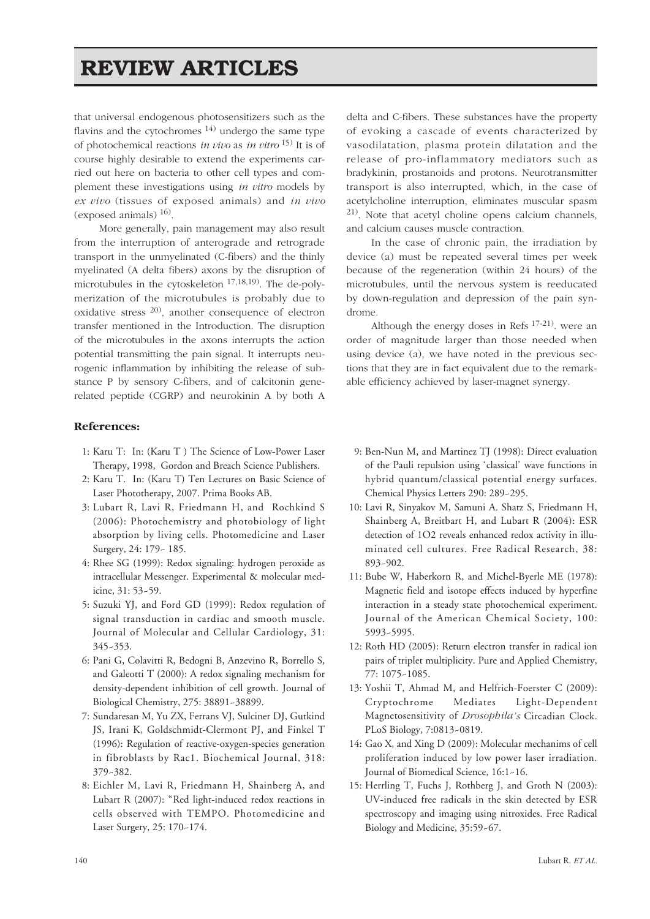# **REVIEW ARTICLES**

that universal endogenous photosensitizers such as the flavins and the cytochromes  $^{14)}$  undergo the same type of photochemical reactions *in vivo* as *in vitro* 15) It is of course highly desirable to extend the experiments carried out here on bacteria to other cell types and complement these investigations using *in vitro* models by *ex vivo* (tissues of exposed animals) and *in vivo* (exposed animals)  $^{16}$ .

More generally, pain management may also result from the interruption of anterograde and retrograde transport in the unmyelinated (C-fibers) and the thinly myelinated (A delta fibers) axons by the disruption of microtubules in the cytoskeleton 17,18,19). The de-polymerization of the microtubules is probably due to oxidative stress 20), another consequence of electron transfer mentioned in the Introduction. The disruption of the microtubules in the axons interrupts the action potential transmitting the pain signal. It interrupts neurogenic inflammation by inhibiting the release of substance P by sensory C-fibers, and of calcitonin generelated peptide (CGRP) and neurokinin A by both A

### **References:**

- 1: Karu T: In: (Karu T ) The Science of Low-Power Laser Therapy, 1998, Gordon and Breach Science Publishers.
- 2: Karu T. In: (Karu T) Ten Lectures on Basic Science of Laser Phototherapy, 2007. Prima Books AB.
- 3: Lubart R, Lavi R, Friedmann H, and Rochkind S (2006): Photochemistry and photobiology of light absorption by living cells. Photomedicine and Laser Surgery, 24: 179~ 185.
- 4: Rhee SG (1999): Redox signaling: hydrogen peroxide as intracellular Messenger. Experimental & molecular medicine, 31: 53~59.
- 5: Suzuki YJ, and Ford GD (1999): Redox regulation of signal transduction in cardiac and smooth muscle. Journal of Molecular and Cellular Cardiology, 31: 345~353.
- 6: Pani G, Colavitti R, Bedogni B, Anzevino R, Borrello S, and Galeotti T (2000): A redox signaling mechanism for density-dependent inhibition of cell growth. Journal of Biological Chemistry, 275: 38891~38899.
- 7: Sundaresan M, Yu ZX, Ferrans VJ, Sulciner DJ, Gutkind JS, Irani K, Goldschmidt-Clermont PJ, and Finkel T (1996): Regulation of reactive-oxygen-species generation in fibroblasts by Rac1. Biochemical Journal, 318: 379~382.
- 8: Eichler M, Lavi R, Friedmann H, Shainberg A, and Lubart R (2007): "Red light-induced redox reactions in cells observed with TEMPO. Photomedicine and Laser Surgery, 25: 170~174.

delta and C-fibers. These substances have the property of evoking a cascade of events characterized by vasodilatation, plasma protein dilatation and the release of pro-inflammatory mediators such as bradykinin, prostanoids and protons. Neurotransmitter transport is also interrupted, which, in the case of acetylcholine interruption, eliminates muscular spasm 21). Note that acetyl choline opens calcium channels, and calcium causes muscle contraction.

In the case of chronic pain, the irradiation by device (a) must be repeated several times per week because of the regeneration (within 24 hours) of the microtubules, until the nervous system is reeducated by down-regulation and depression of the pain syndrome.

Although the energy doses in Refs 17-21). were an order of magnitude larger than those needed when using device (a), we have noted in the previous sections that they are in fact equivalent due to the remarkable efficiency achieved by laser-magnet synergy.

- 9: Ben-Nun M, and Martinez TJ (1998): Direct evaluation of the Pauli repulsion using 'classical' wave functions in hybrid quantum/classical potential energy surfaces. Chemical Physics Letters 290: 289~295.
- 10: Lavi R, Sinyakov M, Samuni A. Shatz S, Friedmann H, Shainberg A, Breitbart H, and Lubart R (2004): ESR detection of 1O2 reveals enhanced redox activity in illuminated cell cultures. Free Radical Research, 38: 893~902.
- 11: Bube W, Haberkorn R, and Michel-Byerle ME (1978): Magnetic field and isotope effects induced by hyperfine interaction in a steady state photochemical experiment. Journal of the American Chemical Society, 100: 5993~5995.
- 12: Roth HD (2005): Return electron transfer in radical ion pairs of triplet multiplicity. Pure and Applied Chemistry, 77: 1075~1085.
- 13: Yoshii T, Ahmad M, and Helfrich-Foerster C (2009): Cryptochrome Mediates Light-Dependent Magnetosensitivity of *Drosophila's* Circadian Clock. PLoS Biology, 7:0813~0819.
- 14: Gao X, and Xing D (2009): Molecular mechanims of cell proliferation induced by low power laser irradiation. Journal of Biomedical Science, 16:1~16.
- 15: Herrling T, Fuchs J, Rothberg J, and Groth N (2003): UV-induced free radicals in the skin detected by ESR spectroscopy and imaging using nitroxides. Free Radical Biology and Medicine, 35:59~67.